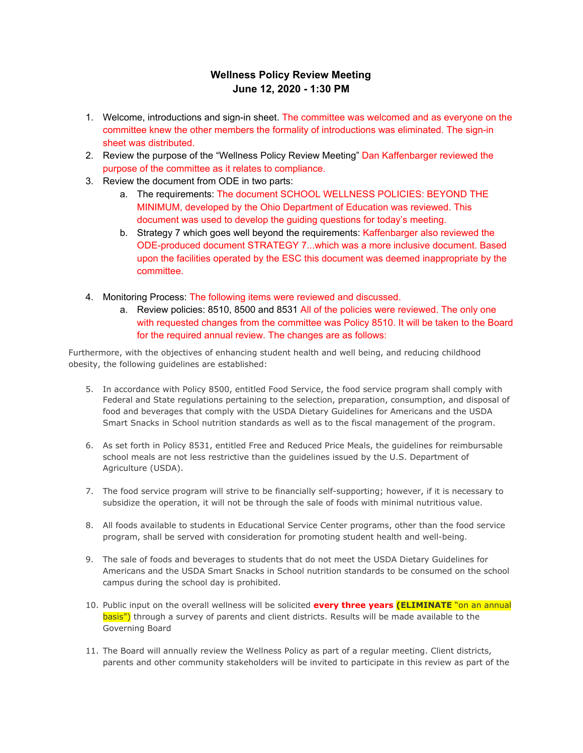## **Wellness Policy Review Meeting June 12, 2020 - 1:30 PM**

- 1. Welcome, introductions and sign-in sheet. The committee was welcomed and as everyone on the committee knew the other members the formality of introductions was eliminated. The sign-in sheet was distributed.
- 2. Review the purpose of the "Wellness Policy Review Meeting" Dan Kaffenbarger reviewed the purpose of the committee as it relates to compliance.
- 3. Review the document from ODE in two parts:
	- a. The requirements: The document SCHOOL WELLNESS POLICIES: BEYOND THE MINIMUM, developed by the Ohio Department of Education was reviewed. This document was used to develop the guiding questions for today's meeting.
	- b. Strategy 7 which goes well beyond the requirements: Kaffenbarger also reviewed the ODE-produced document STRATEGY 7...which was a more inclusive document. Based upon the facilities operated by the ESC this document was deemed inappropriate by the committee.
- 4. Monitoring Process: The following items were reviewed and discussed.
	- a. Review policies: 8510, 8500 and 8531 All of the policies were reviewed. The only one with requested changes from the committee was Policy 8510. It will be taken to the Board for the required annual review. The changes are as follows:

Furthermore, with the objectives of enhancing student health and well being, and reducing childhood obesity, the following guidelines are established:

- 5. In accordance with Policy 8500, entitled Food Service, the food service program shall comply with Federal and State regulations pertaining to the selection, preparation, consumption, and disposal of food and beverages that comply with the USDA Dietary Guidelines for Americans and the USDA Smart Snacks in School nutrition standards as well as to the fiscal management of the program.
- 6. As set forth in Policy 8531, entitled Free and Reduced Price Meals, the guidelines for reimbursable school meals are not less restrictive than the guidelines issued by the U.S. Department of Agriculture (USDA).
- 7. The food service program will strive to be financially self-supporting; however, if it is necessary to subsidize the operation, it will not be through the sale of foods with minimal nutritious value.
- 8. All foods available to students in Educational Service Center programs, other than the food service program, shall be served with consideration for promoting student health and well-being.
- 9. The sale of foods and beverages to students that do not meet the USDA Dietary Guidelines for Americans and the USDA Smart Snacks in School nutrition standards to be consumed on the school campus during the school day is prohibited.
- 10. Public input on the overall wellness will be solicited **every three years (ELIMINATE** "on an annual basis") through a survey of parents and client districts. Results will be made available to the Governing Board
- 11. The Board will annually review the Wellness Policy as part of a regular meeting. Client districts, parents and other community stakeholders will be invited to participate in this review as part of the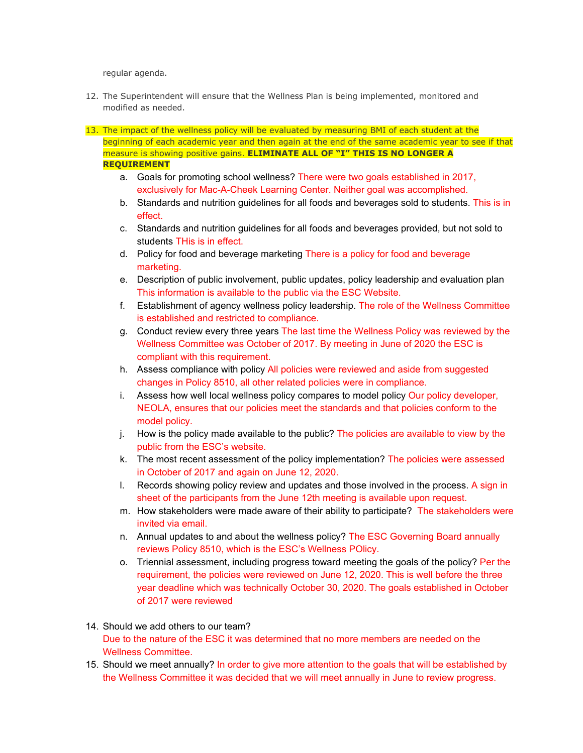regular agenda.

- 12. The Superintendent will ensure that the Wellness Plan is being implemented, monitored and modified as needed.
- 13. The impact of the wellness policy will be evaluated by measuring BMI of each student at the beginning of each academic year and then again at the end of the same academic year to see if that measure is showing positive gains. **ELIMINATE ALL OF "I" THIS IS NO LONGER A REQUIREMENT**
	- a. Goals for promoting school wellness? There were two goals established in 2017, exclusively for Mac-A-Cheek Learning Center. Neither goal was accomplished.
	- b. Standards and nutrition guidelines for all foods and beverages sold to students. This is in effect.
	- c. Standards and nutrition guidelines for all foods and beverages provided, but not sold to students THis is in effect.
	- d. Policy for food and beverage marketing There is a policy for food and beverage marketing.
	- e. Description of public involvement, public updates, policy leadership and evaluation plan This information is available to the public via the ESC Website.
	- f. Establishment of agency wellness policy leadership. The role of the Wellness Committee is established and restricted to compliance.
	- g. Conduct review every three years The last time the Wellness Policy was reviewed by the Wellness Committee was October of 2017. By meeting in June of 2020 the ESC is compliant with this requirement.
	- h. Assess compliance with policy All policies were reviewed and aside from suggested changes in Policy 8510, all other related policies were in compliance.
	- i. Assess how well local wellness policy compares to model policy Our policy developer, NEOLA, ensures that our policies meet the standards and that policies conform to the model policy.
	- j. How is the policy made available to the public? The policies are available to view by the public from the ESC's website.
	- k. The most recent assessment of the policy implementation? The policies were assessed in October of 2017 and again on June 12, 2020.
	- l. Records showing policy review and updates and those involved in the process. A sign in sheet of the participants from the June 12th meeting is available upon request.
	- m. How stakeholders were made aware of their ability to participate? The stakeholders were invited via email.
	- n. Annual updates to and about the wellness policy? The ESC Governing Board annually reviews Policy 8510, which is the ESC's Wellness POlicy.
	- o. Triennial assessment, including progress toward meeting the goals of the policy? Per the requirement, the policies were reviewed on June 12, 2020. This is well before the three year deadline which was technically October 30, 2020. The goals established in October of 2017 were reviewed
- 14. Should we add others to our team? Due to the nature of the ESC it was determined that no more members are needed on the Wellness Committee.
- 15. Should we meet annually? In order to give more attention to the goals that will be established by the Wellness Committee it was decided that we will meet annually in June to review progress.